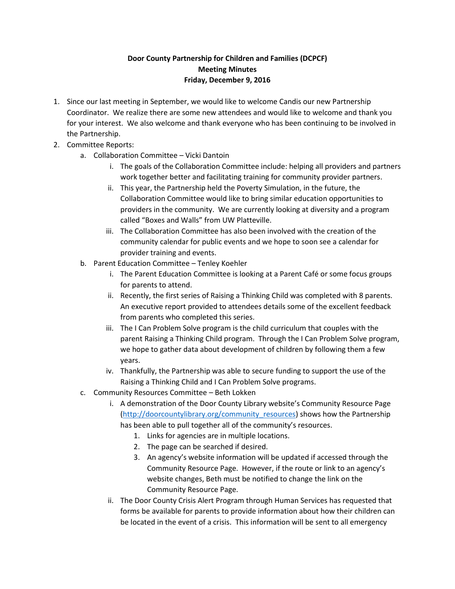## **Door County Partnership for Children and Families (DCPCF) Meeting Minutes Friday, December 9, 2016**

- 1. Since our last meeting in September, we would like to welcome Candis our new Partnership Coordinator. We realize there are some new attendees and would like to welcome and thank you for your interest. We also welcome and thank everyone who has been continuing to be involved in the Partnership.
- 2. Committee Reports:
	- a. Collaboration Committee Vicki Dantoin
		- i. The goals of the Collaboration Committee include: helping all providers and partners work together better and facilitating training for community provider partners.
		- ii. This year, the Partnership held the Poverty Simulation, in the future, the Collaboration Committee would like to bring similar education opportunities to providers in the community. We are currently looking at diversity and a program called "Boxes and Walls" from UW Platteville.
		- iii. The Collaboration Committee has also been involved with the creation of the community calendar for public events and we hope to soon see a calendar for provider training and events.
	- b. Parent Education Committee Tenley Koehler
		- i. The Parent Education Committee is looking at a Parent Café or some focus groups for parents to attend.
		- ii. Recently, the first series of Raising a Thinking Child was completed with 8 parents. An executive report provided to attendees details some of the excellent feedback from parents who completed this series.
		- iii. The I Can Problem Solve program is the child curriculum that couples with the parent Raising a Thinking Child program. Through the I Can Problem Solve program, we hope to gather data about development of children by following them a few years.
		- iv. Thankfully, the Partnership was able to secure funding to support the use of the Raising a Thinking Child and I Can Problem Solve programs.
	- c. Community Resources Committee Beth Lokken
		- i. A demonstration of the Door County Library website's Community Resource Page [\(http://doorcountylibrary.org/community\\_resources\)](http://doorcountylibrary.org/community_resources) shows how the Partnership has been able to pull together all of the community's resources.
			- 1. Links for agencies are in multiple locations.
			- 2. The page can be searched if desired.
			- 3. An agency's website information will be updated if accessed through the Community Resource Page. However, if the route or link to an agency's website changes, Beth must be notified to change the link on the Community Resource Page.
		- ii. The Door County Crisis Alert Program through Human Services has requested that forms be available for parents to provide information about how their children can be located in the event of a crisis. This information will be sent to all emergency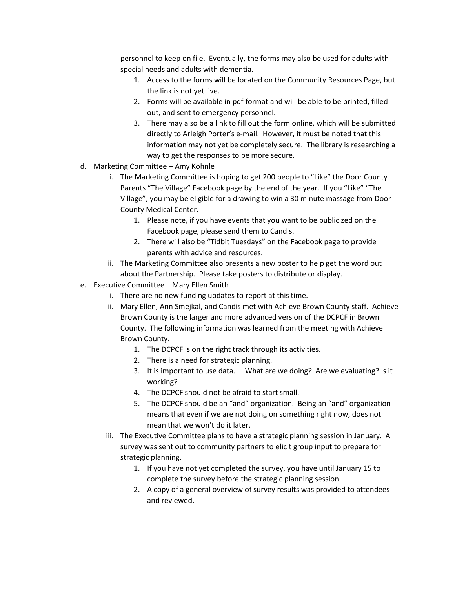personnel to keep on file. Eventually, the forms may also be used for adults with special needs and adults with dementia.

- 1. Access to the forms will be located on the Community Resources Page, but the link is not yet live.
- 2. Forms will be available in pdf format and will be able to be printed, filled out, and sent to emergency personnel.
- 3. There may also be a link to fill out the form online, which will be submitted directly to Arleigh Porter's e-mail. However, it must be noted that this information may not yet be completely secure. The library is researching a way to get the responses to be more secure.
- d. Marketing Committee Amy Kohnle
	- i. The Marketing Committee is hoping to get 200 people to "Like" the Door County Parents "The Village" Facebook page by the end of the year. If you "Like" "The Village", you may be eligible for a drawing to win a 30 minute massage from Door County Medical Center.
		- 1. Please note, if you have events that you want to be publicized on the Facebook page, please send them to Candis.
		- 2. There will also be "Tidbit Tuesdays" on the Facebook page to provide parents with advice and resources.
	- ii. The Marketing Committee also presents a new poster to help get the word out about the Partnership. Please take posters to distribute or display.
- e. Executive Committee Mary Ellen Smith
	- i. There are no new funding updates to report at this time.
	- ii. Mary Ellen, Ann Smejkal, and Candis met with Achieve Brown County staff. Achieve Brown County is the larger and more advanced version of the DCPCF in Brown County. The following information was learned from the meeting with Achieve Brown County.
		- 1. The DCPCF is on the right track through its activities.
		- 2. There is a need for strategic planning.
		- 3. It is important to use data. What are we doing? Are we evaluating? Is it working?
		- 4. The DCPCF should not be afraid to start small.
		- 5. The DCPCF should be an "and" organization. Being an "and" organization means that even if we are not doing on something right now, does not mean that we won't do it later.
	- iii. The Executive Committee plans to have a strategic planning session in January. A survey was sent out to community partners to elicit group input to prepare for strategic planning.
		- 1. If you have not yet completed the survey, you have until January 15 to complete the survey before the strategic planning session.
		- 2. A copy of a general overview of survey results was provided to attendees and reviewed.